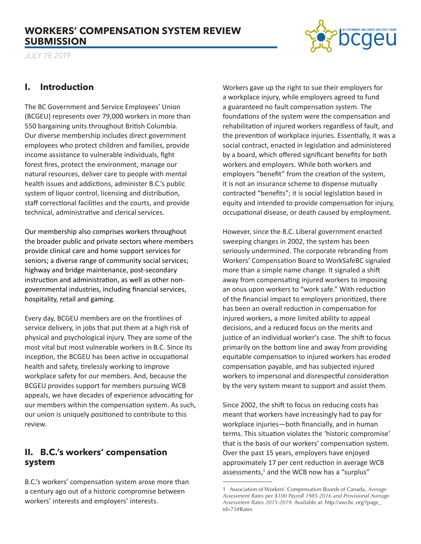# **WORKERS' COMPENSATION SYSTEM REVIEW SUBMISSION**



*JULY 19, 2019*

# **I. Introduction**

The BC Government and Service Employees' Union (BCGEU) represents over 79,000 workers in more than 550 bargaining units throughout British Columbia. Our diverse membership includes direct government employees who protect children and families, provide income assistance to vulnerable individuals, fight forest fires, protect the environment, manage our natural resources, deliver care to people with mental health issues and addictions, administer B.C.'s public system of liquor control, licensing and distribution, staff correctional facilities and the courts, and provide technical, administrative and clerical services.

Our membership also comprises workers throughout the broader public and private sectors where members provide clinical care and home support services for seniors; a diverse range of community social services; highway and bridge maintenance, post-secondary instruction and administration, as well as other nongovernmental industries, including financial services, hospitality, retail and gaming.

Every day, BCGEU members are on the frontlines of service delivery, in jobs that put them at a high risk of physical and psychological injury. They are some of the most vital but most vulnerable workers in B.C. Since its inception, the BCGEU has been active in occupational health and safety, tirelessly working to improve workplace safety for our members. And, because the BCGEU provides support for members pursuing WCB appeals, we have decades of experience advocating for our members within the compensation system. As such, our union is uniquely positioned to contribute to this review.

# **II. B.C.'s workers' compensation system**

B.C.'s workers' compensation system arose more than a century ago out of a historic compromise between workers' interests and employers' interests.

Workers gave up the right to sue their employers for a workplace injury, while employers agreed to fund a guaranteed no fault compensation system. The foundations of the system were the compensation and rehabilitation of injured workers regardless of fault, and the prevention of workplace injuries. Essentially, it was a social contract, enacted in legislation and administered by a board, which offered significant benefits for both workers and employers. While both workers and employers "benefit" from the creation of the system, it is not an insurance scheme to dispense mutually contracted "benefits"; it is social legislation based in equity and intended to provide compensation for injury, occupational disease, or death caused by employment.

However, since the B.C. Liberal government enacted sweeping changes in 2002, the system has been seriously undermined. The corporate rebranding from Workers' Compensation Board to WorkSafeBC signaled more than a simple name change. It signaled a shift away from compensating injured workers to imposing an onus upon workers to "work safe." With reduction of the financial impact to employers prioritized, there has been an overall reduction in compensation for injured workers, a more limited ability to appeal decisions, and a reduced focus on the merits and justice of an individual worker's case. The shift to focus primarily on the bottom line and away from providing equitable compensation to injured workers has eroded compensation payable, and has subjected injured workers to impersonal and disrespectful consideration by the very system meant to support and assist them.

Since 2002, the shift to focus on reducing costs has meant that workers have increasingly had to pay for workplace injuries—both financially, and in human terms. This situation violates the 'historic compromise' that is the basis of our workers' compensation system. Over the past 15 years, employers have enjoyed approximately 17 per cent reduction in average WCB assessments, $<sup>1</sup>$  and the WCB now has a "surplus"</sup>

<sup>1</sup> Association of Workers' Compensation Boards of Canada, *Average Assessment Rates per \$100 Payroll 1985-2016 and Provisional Average Assessment Rates 2015-2019*. Available at: http://awcbc.org/?page\_ id=73#Rates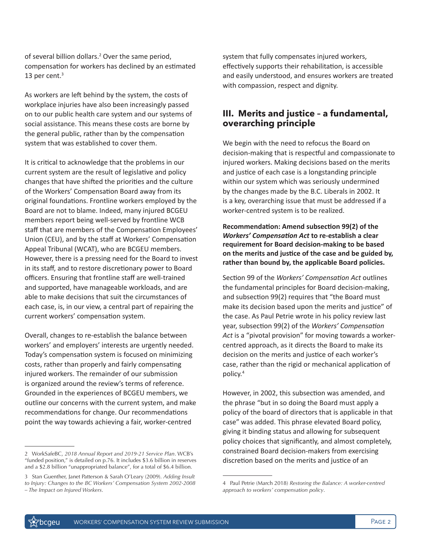of several billion dollars.<sup>2</sup> Over the same period, compensation for workers has declined by an estimated 13 per cent. $3$ 

As workers are left behind by the system, the costs of workplace injuries have also been increasingly passed on to our public health care system and our systems of social assistance. This means these costs are borne by the general public, rather than by the compensation system that was established to cover them.

It is critical to acknowledge that the problems in our current system are the result of legislative and policy changes that have shifted the priorities and the culture of the Workers' Compensation Board away from its original foundations. Frontline workers employed by the Board are not to blame. Indeed, many injured BCGEU members report being well-served by frontline WCB staff that are members of the Compensation Employees' Union (CEU), and by the staff at Workers' Compensation Appeal Tribunal (WCAT), who are BCGEU members. However, there is a pressing need for the Board to invest in its staff, and to restore discretionary power to Board officers. Ensuring that frontline staff are well-trained and supported, have manageable workloads, and are able to make decisions that suit the circumstances of each case, is, in our view, a central part of repairing the current workers' compensation system.

Overall, changes to re-establish the balance between workers' and employers' interests are urgently needed. Today's compensation system is focused on minimizing costs, rather than properly and fairly compensating injured workers. The remainder of our submission is organized around the review's terms of reference. Grounded in the experiences of BCGEU members, we outline our concerns with the current system, and make recommendations for change. Our recommendations point the way towards achieving a fair, worker-centred

2 WorkSafeBC, *2018 Annual Report and 2019-21 Service Plan*. WCB's "funded position," is detailed on p.76. It includes \$3.6 billion in reserves and a \$2.8 billion "unappropriated balance", for a total of \$6.4 billion.

system that fully compensates injured workers, effectively supports their rehabilitation, is accessible and easily understood, and ensures workers are treated with compassion, respect and dignity.

### **III. Merits and justice – a fundamental, overarching principle**

We begin with the need to refocus the Board on decision-making that is respectful and compassionate to injured workers. Making decisions based on the merits and justice of each case is a longstanding principle within our system which was seriously undermined by the changes made by the B.C. Liberals in 2002. It is a key, overarching issue that must be addressed if a worker-centred system is to be realized.

**Recommendation: Amend subsection 99(2) of the**  *Workers' Compensation Act* **to re-establish a clear requirement for Board decision-making to be based on the merits and justice of the case and be guided by, rather than bound by, the applicable Board policies.** 

Section 99 of the *Workers' Compensation Act* outlines the fundamental principles for Board decision-making, and subsection 99(2) requires that "the Board must make its decision based upon the merits and justice" of the case. As Paul Petrie wrote in his policy review last year, subsection 99(2) of the *Workers' Compensation Act* is a "pivotal provision" for moving towards a workercentred approach, as it directs the Board to make its decision on the merits and justice of each worker's case, rather than the rigid or mechanical application of policy.<sup>4</sup>

However, in 2002, this subsection was amended, and the phrase "but in so doing the Board must apply a policy of the board of directors that is applicable in that case" was added. This phrase elevated Board policy, giving it binding status and allowing for subsequent policy choices that significantly, and almost completely, constrained Board decision-makers from exercising discretion based on the merits and justice of an

<sup>3</sup> Stan Guenther, Janet Patterson & Sarah O'Leary (2009). *Adding Insult to Injury: Changes to the BC Workers' Compensation System 2002-2008 – The Impact on Injured Workers*.

<sup>4</sup> Paul Petrie (March 2018) *Restoring the Balance: A worker-centred approach to workers' compensation policy*.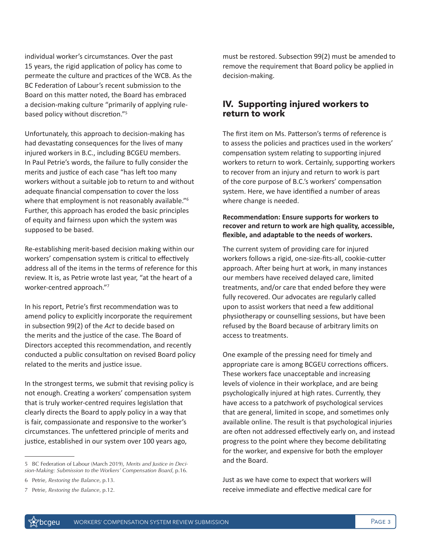individual worker's circumstances. Over the past 15 years, the rigid application of policy has come to permeate the culture and practices of the WCB. As the BC Federation of Labour's recent submission to the Board on this matter noted, the Board has embraced a decision-making culture "primarily of applying rulebased policy without discretion."<sup>5</sup>

Unfortunately, this approach to decision-making has had devastating consequences for the lives of many injured workers in B.C., including BCGEU members. In Paul Petrie's words, the failure to fully consider the merits and justice of each case "has left too many workers without a suitable job to return to and without adequate financial compensation to cover the loss where that employment is not reasonably available."<sup>6</sup> Further, this approach has eroded the basic principles of equity and fairness upon which the system was supposed to be based.

Re-establishing merit-based decision making within our workers' compensation system is critical to effectively address all of the items in the terms of reference for this review. It is, as Petrie wrote last year, "at the heart of a worker-centred approach."<sup>7</sup>

In his report, Petrie's first recommendation was to amend policy to explicitly incorporate the requirement in subsection 99(2) of the *Act* to decide based on the merits and the justice of the case. The Board of Directors accepted this recommendation, and recently conducted a public consultation on revised Board policy related to the merits and justice issue.

In the strongest terms, we submit that revising policy is not enough. Creating a workers' compensation system that is truly worker-centred requires legislation that clearly directs the Board to apply policy in a way that is fair, compassionate and responsive to the worker's circumstances. The unfettered principle of merits and justice, established in our system over 100 years ago,

5 BC Federation of Labour (March 2019), *Merits and Justice in Decision-Making: Submission to the Workers' Compensation Board*, p.16.

must be restored. Subsection 99(2) must be amended to remove the requirement that Board policy be applied in decision-making.

### **IV. Supporting injured workers to return to work**

The first item on Ms. Patterson's terms of reference is to assess the policies and practices used in the workers' compensation system relating to supporting injured workers to return to work. Certainly, supporting workers to recover from an injury and return to work is part of the core purpose of B.C.'s workers' compensation system. Here, we have identified a number of areas where change is needed.

#### **Recommendation: Ensure supports for workers to recover and return to work are high quality, accessible, flexible, and adaptable to the needs of workers.**

The current system of providing care for injured workers follows a rigid, one-size-fits-all, cookie-cutter approach. After being hurt at work, in many instances our members have received delayed care, limited treatments, and/or care that ended before they were fully recovered. Our advocates are regularly called upon to assist workers that need a few additional physiotherapy or counselling sessions, but have been refused by the Board because of arbitrary limits on access to treatments.

One example of the pressing need for timely and appropriate care is among BCGEU corrections officers. These workers face unacceptable and increasing levels of violence in their workplace, and are being psychologically injured at high rates. Currently, they have access to a patchwork of psychological services that are general, limited in scope, and sometimes only available online. The result is that psychological injuries are often not addressed effectively early on, and instead progress to the point where they become debilitating for the worker, and expensive for both the employer and the Board.

Just as we have come to expect that workers will receive immediate and effective medical care for

<sup>6</sup> Petrie, *Restoring the Balance*, p.13.

<sup>7</sup> Petrie, *Restoring the Balance*, p.12.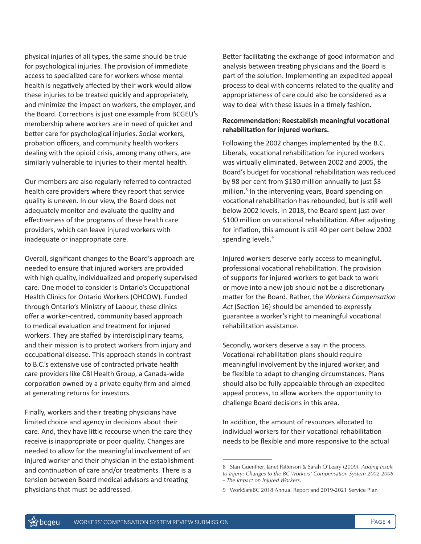physical injuries of all types, the same should be true for psychological injuries. The provision of immediate access to specialized care for workers whose mental health is negatively affected by their work would allow these injuries to be treated quickly and appropriately, and minimize the impact on workers, the employer, and the Board. Corrections is just one example from BCGEU's membership where workers are in need of quicker and better care for psychological injuries. Social workers, probation officers, and community health workers dealing with the opioid crisis, among many others, are similarly vulnerable to injuries to their mental health.

Our members are also regularly referred to contracted health care providers where they report that service quality is uneven. In our view, the Board does not adequately monitor and evaluate the quality and effectiveness of the programs of these health care providers, which can leave injured workers with inadequate or inappropriate care.

Overall, significant changes to the Board's approach are needed to ensure that injured workers are provided with high quality, individualized and properly supervised care. One model to consider is Ontario's Occupational Health Clinics for Ontario Workers (OHCOW). Funded through Ontario's Ministry of Labour, these clinics offer a worker-centred, community based approach to medical evaluation and treatment for injured workers. They are staffed by interdisciplinary teams, and their mission is to protect workers from injury and occupational disease. This approach stands in contrast to B.C.'s extensive use of contracted private health care providers like CBI Health Group, a Canada-wide corporation owned by a private equity firm and aimed at generating returns for investors.

Finally, workers and their treating physicians have limited choice and agency in decisions about their care. And, they have little recourse when the care they receive is inappropriate or poor quality. Changes are needed to allow for the meaningful involvement of an injured worker and their physician in the establishment and continuation of care and/or treatments. There is a tension between Board medical advisors and treating physicians that must be addressed.

Better facilitating the exchange of good information and analysis between treating physicians and the Board is part of the solution. Implementing an expedited appeal process to deal with concerns related to the quality and appropriateness of care could also be considered as a way to deal with these issues in a timely fashion.

#### **Recommendation: Reestablish meaningful vocational rehabilitation for injured workers.**

Following the 2002 changes implemented by the B.C. Liberals, vocational rehabilitation for injured workers was virtually eliminated. Between 2002 and 2005, the Board's budget for vocational rehabilitation was reduced by 98 per cent from \$130 million annually to just \$3 million.<sup>8</sup> In the intervening years, Board spending on vocational rehabilitation has rebounded, but is still well below 2002 levels. In 2018, the Board spent just over \$100 million on vocational rehabilitation. After adjusting for inflation, this amount is still 40 per cent below 2002 spending levels.<sup>9</sup>

Injured workers deserve early access to meaningful, professional vocational rehabilitation. The provision of supports for injured workers to get back to work or move into a new job should not be a discretionary matter for the Board. Rather, the *Workers Compensation Act* (Section 16) should be amended to expressly guarantee a worker's right to meaningful vocational rehabilitation assistance.

Secondly, workers deserve a say in the process. Vocational rehabilitation plans should require meaningful involvement by the injured worker, and be flexible to adapt to changing circumstances. Plans should also be fully appealable through an expedited appeal process, to allow workers the opportunity to challenge Board decisions in this area.

In addition, the amount of resources allocated to individual workers for their vocational rehabilitation needs to be flexible and more responsive to the actual

<sup>8</sup> Stan Guenther, Janet Patterson & Sarah O'Leary (2009). *Adding Insult to Injury: Changes to the BC Workers' Compensation System 2002-2008 – The Impact on Injured Workers*.

<sup>9</sup> WorkSafeBC 2018 Annual Report and 2019-2021 Service Plan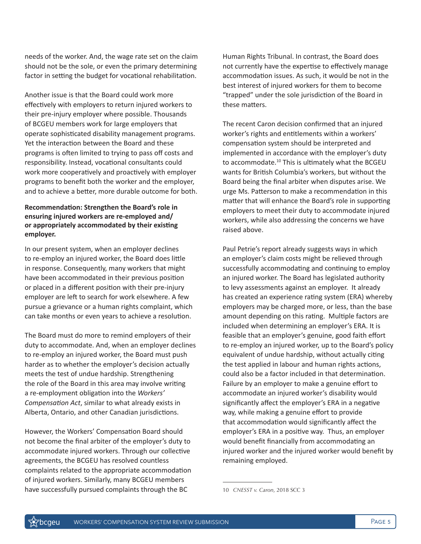needs of the worker. And, the wage rate set on the claim should not be the sole, or even the primary determining factor in setting the budget for vocational rehabilitation.

Another issue is that the Board could work more effectively with employers to return injured workers to their pre-injury employer where possible. Thousands of BCGEU members work for large employers that operate sophisticated disability management programs. Yet the interaction between the Board and these programs is often limited to trying to pass off costs and responsibility. Instead, vocational consultants could work more cooperatively and proactively with employer programs to benefit both the worker and the employer, and to achieve a better, more durable outcome for both.

#### **Recommendation: Strengthen the Board's role in ensuring injured workers are re-employed and/ or appropriately accommodated by their existing employer.**

In our present system, when an employer declines to re-employ an injured worker, the Board does little in response. Consequently, many workers that might have been accommodated in their previous position or placed in a different position with their pre-injury employer are left to search for work elsewhere. A few pursue a grievance or a human rights complaint, which can take months or even years to achieve a resolution.

The Board must do more to remind employers of their duty to accommodate. And, when an employer declines to re-employ an injured worker, the Board must push harder as to whether the employer's decision actually meets the test of undue hardship. Strengthening the role of the Board in this area may involve writing a re-employment obligation into the *Workers' Compensation Act*, similar to what already exists in Alberta, Ontario, and other Canadian jurisdictions.

However, the Workers' Compensation Board should not become the final arbiter of the employer's duty to accommodate injured workers. Through our collective agreements, the BCGEU has resolved countless complaints related to the appropriate accommodation of injured workers. Similarly, many BCGEU members have successfully pursued complaints through the BC

Human Rights Tribunal. In contrast, the Board does not currently have the expertise to effectively manage accommodation issues. As such, it would be not in the best interest of injured workers for them to become "trapped" under the sole jurisdiction of the Board in these matters.

The recent Caron decision confirmed that an injured worker's rights and entitlements within a workers' compensation system should be interpreted and implemented in accordance with the employer's duty to accommodate.<sup>10</sup> This is ultimately what the BCGEU wants for British Columbia's workers, but without the Board being the final arbiter when disputes arise. We urge Ms. Patterson to make a recommendation in this matter that will enhance the Board's role in supporting employers to meet their duty to accommodate injured workers, while also addressing the concerns we have raised above.

Paul Petrie's report already suggests ways in which an employer's claim costs might be relieved through successfully accommodating and continuing to employ an injured worker. The Board has legislated authority to levy assessments against an employer. It already has created an experience rating system (ERA) whereby employers may be charged more, or less, than the base amount depending on this rating. Multiple factors are included when determining an employer's ERA. It is feasible that an employer's genuine, good faith effort to re-employ an injured worker, up to the Board's policy equivalent of undue hardship, without actually citing the test applied in labour and human rights actions, could also be a factor included in that determination. Failure by an employer to make a genuine effort to accommodate an injured worker's disability would significantly affect the employer's ERA in a negative way, while making a genuine effort to provide that accommodation would significantly affect the employer's ERA in a positive way. Thus, an employer would benefit financially from accommodating an injured worker and the injured worker would benefit by remaining employed.

<sup>10</sup> *CNESST v. Caron*, 2018 SCC 3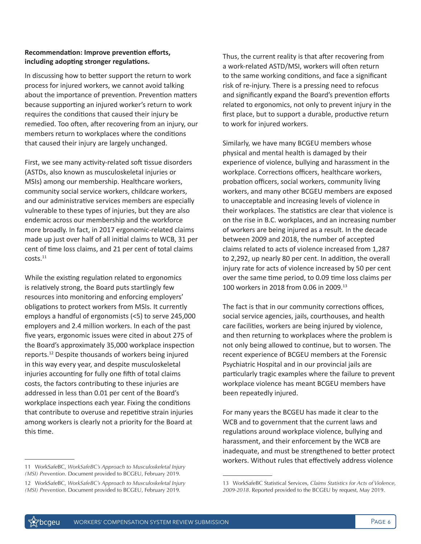#### **Recommendation: Improve prevention efforts, including adopting stronger regulations.**

In discussing how to better support the return to work process for injured workers, we cannot avoid talking about the importance of prevention. Prevention matters because supporting an injured worker's return to work requires the conditions that caused their injury be remedied. Too often, after recovering from an injury, our members return to workplaces where the conditions that caused their injury are largely unchanged.

First, we see many activity-related soft tissue disorders (ASTDs, also known as musculoskeletal injuries or MSIs) among our membership. Healthcare workers, community social service workers, childcare workers, and our administrative services members are especially vulnerable to these types of injuries, but they are also endemic across our membership and the workforce more broadly. In fact, in 2017 ergonomic-related claims made up just over half of all initial claims to WCB, 31 per cent of time loss claims, and 21 per cent of total claims costs.<sup>11</sup>

While the existing regulation related to ergonomics is relatively strong, the Board puts startlingly few resources into monitoring and enforcing employers' obligations to protect workers from MSIs. It currently employs a handful of ergonomists (<5) to serve 245,000 employers and 2.4 million workers. In each of the past five years, ergonomic issues were cited in about 275 of the Board's approximately 35,000 workplace inspection reports.12 Despite thousands of workers being injured in this way every year, and despite musculoskeletal injuries accounting for fully one fifth of total claims costs, the factors contributing to these injuries are addressed in less than 0.01 per cent of the Board's workplace inspections each year. Fixing the conditions that contribute to overuse and repetitive strain injuries among workers is clearly not a priority for the Board at this time.

11 WorkSafeBC, *WorkSafeBC's Approach to Musculoskeletal Injury (MSI) Prevention*. Document provided to BCGEU, February 2019.

Thus, the current reality is that after recovering from a work-related ASTD/MSI, workers will often return to the same working conditions, and face a significant risk of re-injury. There is a pressing need to refocus and significantly expand the Board's prevention efforts related to ergonomics, not only to prevent injury in the first place, but to support a durable, productive return to work for injured workers.

Similarly, we have many BCGEU members whose physical and mental health is damaged by their experience of violence, bullying and harassment in the workplace. Corrections officers, healthcare workers, probation officers, social workers, community living workers, and many other BCGEU members are exposed to unacceptable and increasing levels of violence in their workplaces. The statistics are clear that violence is on the rise in B.C. workplaces, and an increasing number of workers are being injured as a result. In the decade between 2009 and 2018, the number of accepted claims related to acts of violence increased from 1,287 to 2,292, up nearly 80 per cent. In addition, the overall injury rate for acts of violence increased by 50 per cent over the same time period, to 0.09 time loss claims per 100 workers in 2018 from 0.06 in 2009.<sup>13</sup>

The fact is that in our community corrections offices, social service agencies, jails, courthouses, and health care facilities, workers are being injured by violence, and then returning to workplaces where the problem is not only being allowed to continue, but to worsen. The recent experience of BCGEU members at the Forensic Psychiatric Hospital and in our provincial jails are particularly tragic examples where the failure to prevent workplace violence has meant BCGEU members have been repeatedly injured.

For many years the BCGEU has made it clear to the WCB and to government that the current laws and regulations around workplace violence, bullying and harassment, and their enforcement by the WCB are inadequate, and must be strengthened to better protect workers. Without rules that effectively address violence

<sup>12</sup> WorkSafeBC, *WorkSafeBC's Approach to Musculoskeletal Injury (MSI) Prevention*. Document provided to BCGEU, February 2019.

<sup>13</sup> WorkSafeBC Statistical Services, *Claims Statistics for Acts of Violence, 2009-2018*. Reported provided to the BCGEU by request, May 2019.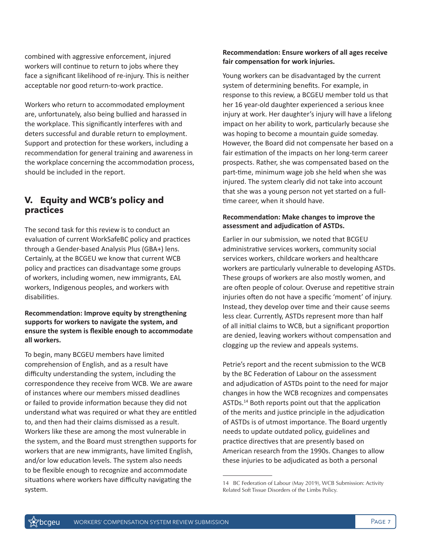combined with aggressive enforcement, injured workers will continue to return to jobs where they face a significant likelihood of re-injury. This is neither acceptable nor good return-to-work practice.

Workers who return to accommodated employment are, unfortunately, also being bullied and harassed in the workplace. This significantly interferes with and deters successful and durable return to employment. Support and protection for these workers, including a recommendation for general training and awareness in the workplace concerning the accommodation process, should be included in the report.

## **V. Equity and WCB's policy and practices**

The second task for this review is to conduct an evaluation of current WorkSafeBC policy and practices through a Gender-based Analysis Plus (GBA+) lens. Certainly, at the BCGEU we know that current WCB policy and practices can disadvantage some groups of workers, including women, new immigrants, EAL workers, Indigenous peoples, and workers with disabilities.

#### **Recommendation: Improve equity by strengthening supports for workers to navigate the system, and ensure the system is flexible enough to accommodate all workers.**

To begin, many BCGEU members have limited comprehension of English, and as a result have difficulty understanding the system, including the correspondence they receive from WCB. We are aware of instances where our members missed deadlines or failed to provide information because they did not understand what was required or what they are entitled to, and then had their claims dismissed as a result. Workers like these are among the most vulnerable in the system, and the Board must strengthen supports for workers that are new immigrants, have limited English, and/or low education levels. The system also needs to be flexible enough to recognize and accommodate situations where workers have difficulty navigating the system.

#### **Recommendation: Ensure workers of all ages receive fair compensation for work injuries.**

Young workers can be disadvantaged by the current system of determining benefits. For example, in response to this review, a BCGEU member told us that her 16 year-old daughter experienced a serious knee injury at work. Her daughter's injury will have a lifelong impact on her ability to work, particularly because she was hoping to become a mountain guide someday. However, the Board did not compensate her based on a fair estimation of the impacts on her long-term career prospects. Rather, she was compensated based on the part-time, minimum wage job she held when she was injured. The system clearly did not take into account that she was a young person not yet started on a fulltime career, when it should have.

### **Recommendation: Make changes to improve the assessment and adjudication of ASTDs.**

Earlier in our submission, we noted that BCGEU administrative services workers, community social services workers, childcare workers and healthcare workers are particularly vulnerable to developing ASTDs. These groups of workers are also mostly women, and are often people of colour. Overuse and repetitive strain injuries often do not have a specific 'moment' of injury. Instead, they develop over time and their cause seems less clear. Currently, ASTDs represent more than half of all initial claims to WCB, but a significant proportion are denied, leaving workers without compensation and clogging up the review and appeals systems.

Petrie's report and the recent submission to the WCB by the BC Federation of Labour on the assessment and adjudication of ASTDs point to the need for major changes in how the WCB recognizes and compensates ASTDs.14 Both reports point out that the application of the merits and justice principle in the adjudication of ASTDs is of utmost importance. The Board urgently needs to update outdated policy, guidelines and practice directives that are presently based on American research from the 1990s. Changes to allow these injuries to be adjudicated as both a personal

<sup>14</sup> BC Federation of Labour (May 2019), WCB Submission: Activity Related Soft Tissue Disorders of the Limbs Policy.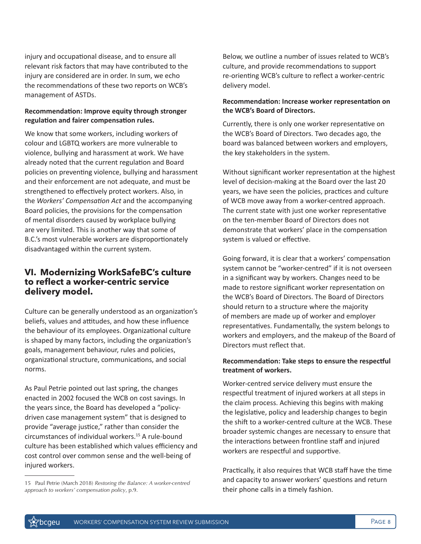injury and occupational disease, and to ensure all relevant risk factors that may have contributed to the injury are considered are in order. In sum, we echo the recommendations of these two reports on WCB's management of ASTDs.

#### **Recommendation: Improve equity through stronger regulation and fairer compensation rules.**

We know that some workers, including workers of colour and LGBTQ workers are more vulnerable to violence, bullying and harassment at work. We have already noted that the current regulation and Board policies on preventing violence, bullying and harassment and their enforcement are not adequate, and must be strengthened to effectively protect workers. Also, in the *Workers' Compensation Act* and the accompanying Board policies, the provisions for the compensation of mental disorders caused by workplace bullying are very limited. This is another way that some of B.C.'s most vulnerable workers are disproportionately disadvantaged within the current system.

### **VI. Modernizing WorkSafeBC's culture to reflect a worker-centric service delivery model.**

Culture can be generally understood as an organization's beliefs, values and attitudes, and how these influence the behaviour of its employees. Organizational culture is shaped by many factors, including the organization's goals, management behaviour, rules and policies, organizational structure, communications, and social norms.

As Paul Petrie pointed out last spring, the changes enacted in 2002 focused the WCB on cost savings. In the years since, the Board has developed a "policydriven case management system" that is designed to provide "average justice," rather than consider the circumstances of individual workers.15 A rule-bound culture has been established which values efficiency and cost control over common sense and the well-being of injured workers.

Below, we outline a number of issues related to WCB's culture, and provide recommendations to support re-orienting WCB's culture to reflect a worker-centric delivery model.

#### **Recommendation: Increase worker representation on the WCB's Board of Directors.**

Currently, there is only one worker representative on the WCB's Board of Directors. Two decades ago, the board was balanced between workers and employers, the key stakeholders in the system.

Without significant worker representation at the highest level of decision-making at the Board over the last 20 years, we have seen the policies, practices and culture of WCB move away from a worker-centred approach. The current state with just one worker representative on the ten-member Board of Directors does not demonstrate that workers' place in the compensation system is valued or effective.

Going forward, it is clear that a workers' compensation system cannot be "worker-centred" if it is not overseen in a significant way by workers. Changes need to be made to restore significant worker representation on the WCB's Board of Directors. The Board of Directors should return to a structure where the majority of members are made up of worker and employer representatives. Fundamentally, the system belongs to workers and employers, and the makeup of the Board of Directors must reflect that.

#### **Recommendation: Take steps to ensure the respectful treatment of workers.**

Worker-centred service delivery must ensure the respectful treatment of injured workers at all steps in the claim process. Achieving this begins with making the legislative, policy and leadership changes to begin the shift to a worker-centred culture at the WCB. These broader systemic changes are necessary to ensure that the interactions between frontline staff and injured workers are respectful and supportive.

Practically, it also requires that WCB staff have the time and capacity to answer workers' questions and return their phone calls in a timely fashion.

<sup>15</sup> Paul Petrie (March 2018) *Restoring the Balance: A worker-centred approach to workers' compensation policy*, p.9.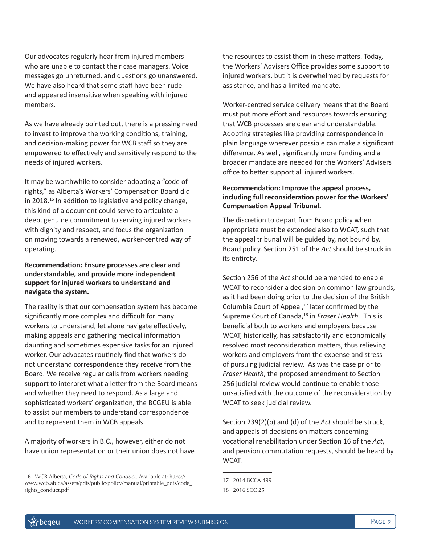Our advocates regularly hear from injured members who are unable to contact their case managers. Voice messages go unreturned, and questions go unanswered. We have also heard that some staff have been rude and appeared insensitive when speaking with injured members.

As we have already pointed out, there is a pressing need to invest to improve the working conditions, training, and decision-making power for WCB staff so they are empowered to effectively and sensitively respond to the needs of injured workers.

It may be worthwhile to consider adopting a "code of rights," as Alberta's Workers' Compensation Board did in 2018.<sup>16</sup> In addition to legislative and policy change, this kind of a document could serve to articulate a deep, genuine commitment to serving injured workers with dignity and respect, and focus the organization on moving towards a renewed, worker-centred way of operating.

#### **Recommendation: Ensure processes are clear and understandable, and provide more independent support for injured workers to understand and navigate the system.**

The reality is that our compensation system has become significantly more complex and difficult for many workers to understand, let alone navigate effectively, making appeals and gathering medical information daunting and sometimes expensive tasks for an injured worker. Our advocates routinely find that workers do not understand correspondence they receive from the Board. We receive regular calls from workers needing support to interpret what a letter from the Board means and whether they need to respond. As a large and sophisticated workers' organization, the BCGEU is able to assist our members to understand correspondence and to represent them in WCB appeals.

A majority of workers in B.C., however, either do not have union representation or their union does not have the resources to assist them in these matters. Today, the Workers' Advisers Office provides some support to injured workers, but it is overwhelmed by requests for assistance, and has a limited mandate.

Worker-centred service delivery means that the Board must put more effort and resources towards ensuring that WCB processes are clear and understandable. Adopting strategies like providing correspondence in plain language wherever possible can make a significant difference. As well, significantly more funding and a broader mandate are needed for the Workers' Advisers office to better support all injured workers.

#### **Recommendation: Improve the appeal process, including full reconsideration power for the Workers' Compensation Appeal Tribunal.**

The discretion to depart from Board policy when appropriate must be extended also to WCAT, such that the appeal tribunal will be guided by, not bound by, Board policy. Section 251 of the *Act* should be struck in its entirety.

Section 256 of the *Act* should be amended to enable WCAT to reconsider a decision on common law grounds, as it had been doing prior to the decision of the British Columbia Court of Appeal, $17$  later confirmed by the Supreme Court of Canada,18 in *Fraser Health*. This is beneficial both to workers and employers because WCAT, historically, has satisfactorily and economically resolved most reconsideration matters, thus relieving workers and employers from the expense and stress of pursuing judicial review. As was the case prior to *Fraser Health*, the proposed amendment to Section 256 judicial review would continue to enable those unsatisfied with the outcome of the reconsideration by WCAT to seek judicial review.

Section 239(2)(b) and (d) of the *Act* should be struck, and appeals of decisions on matters concerning vocational rehabilitation under Section 16 of the *Act*, and pension commutation requests, should be heard by WCAT.

<sup>16</sup> WCB Alberta, *Code of Rights and Conduct*. Available at: https:// www.wcb.ab.ca/assets/pdfs/public/policy/manual/printable\_pdfs/code\_ rights\_conduct.pdf

<sup>17 2014</sup> BCCA 499

<sup>18 2016</sup> SCC 25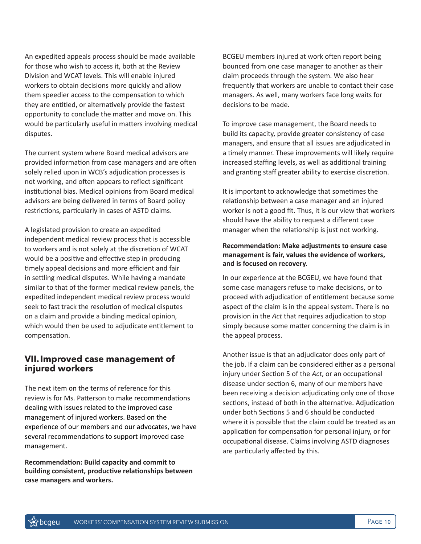An expedited appeals process should be made available for those who wish to access it, both at the Review Division and WCAT levels. This will enable injured workers to obtain decisions more quickly and allow them speedier access to the compensation to which they are entitled, or alternatively provide the fastest opportunity to conclude the matter and move on. This would be particularly useful in matters involving medical disputes.

The current system where Board medical advisors are provided information from case managers and are often solely relied upon in WCB's adjudication processes is not working, and often appears to reflect significant institutional bias. Medical opinions from Board medical advisors are being delivered in terms of Board policy restrictions, particularly in cases of ASTD claims.

A legislated provision to create an expedited independent medical review process that is accessible to workers and is not solely at the discretion of WCAT would be a positive and effective step in producing timely appeal decisions and more efficient and fair in settling medical disputes. While having a mandate similar to that of the former medical review panels, the expedited independent medical review process would seek to fast track the resolution of medical disputes on a claim and provide a binding medical opinion, which would then be used to adjudicate entitlement to compensation.

### **VII.Improved case management of injured workers**

The next item on the terms of reference for this review is for Ms. Patterson to make recommendations dealing with issues related to the improved case management of injured workers. Based on the experience of our members and our advocates, we have several recommendations to support improved case management.

**Recommendation: Build capacity and commit to building consistent, productive relationships between case managers and workers.**

BCGEU members injured at work often report being bounced from one case manager to another as their claim proceeds through the system. We also hear frequently that workers are unable to contact their case managers. As well, many workers face long waits for decisions to be made.

To improve case management, the Board needs to build its capacity, provide greater consistency of case managers, and ensure that all issues are adjudicated in a timely manner. These improvements will likely require increased staffing levels, as well as additional training and granting staff greater ability to exercise discretion.

It is important to acknowledge that sometimes the relationship between a case manager and an injured worker is not a good fit. Thus, it is our view that workers should have the ability to request a different case manager when the relationship is just not working.

#### **Recommendation: Make adjustments to ensure case management is fair, values the evidence of workers, and is focused on recovery.**

In our experience at the BCGEU, we have found that some case managers refuse to make decisions, or to proceed with adjudication of entitlement because some aspect of the claim is in the appeal system. There is no provision in the *Act* that requires adjudication to stop simply because some matter concerning the claim is in the appeal process.

Another issue is that an adjudicator does only part of the job. If a claim can be considered either as a personal injury under Section 5 of the *Act*, or an occupational disease under section 6, many of our members have been receiving a decision adjudicating only one of those sections, instead of both in the alternative. Adjudication under both Sections 5 and 6 should be conducted where it is possible that the claim could be treated as an application for compensation for personal injury, or for occupational disease. Claims involving ASTD diagnoses are particularly affected by this.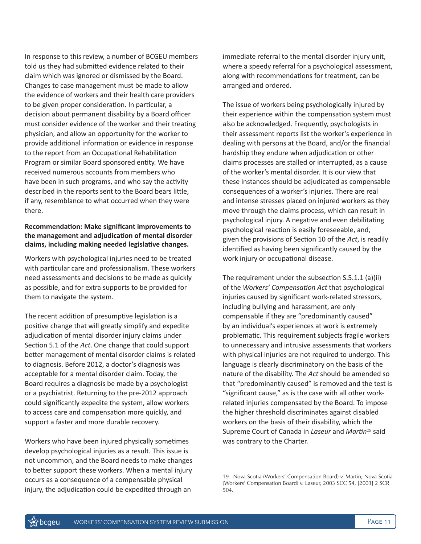In response to this review, a number of BCGEU members told us they had submitted evidence related to their claim which was ignored or dismissed by the Board. Changes to case management must be made to allow the evidence of workers and their health care providers to be given proper consideration. In particular, a decision about permanent disability by a Board officer must consider evidence of the worker and their treating physician, and allow an opportunity for the worker to provide additional information or evidence in response to the report from an Occupational Rehabilitation Program or similar Board sponsored entity. We have received numerous accounts from members who have been in such programs, and who say the activity described in the reports sent to the Board bears little, if any, resemblance to what occurred when they were there.

#### **Recommendation: Make significant improvements to the management and adjudication of mental disorder claims, including making needed legislative changes.**

Workers with psychological injuries need to be treated with particular care and professionalism. These workers need assessments and decisions to be made as quickly as possible, and for extra supports to be provided for them to navigate the system.

The recent addition of presumptive legislation is a positive change that will greatly simplify and expedite adjudication of mental disorder injury claims under Section 5.1 of the *Act*. One change that could support better management of mental disorder claims is related to diagnosis. Before 2012, a doctor's diagnosis was acceptable for a mental disorder claim. Today, the Board requires a diagnosis be made by a psychologist or a psychiatrist. Returning to the pre-2012 approach could significantly expedite the system, allow workers to access care and compensation more quickly, and support a faster and more durable recovery.

Workers who have been injured physically sometimes develop psychological injuries as a result. This issue is not uncommon, and the Board needs to make changes to better support these workers. When a mental injury occurs as a consequence of a compensable physical injury, the adjudication could be expedited through an

immediate referral to the mental disorder injury unit, where a speedy referral for a psychological assessment, along with recommendations for treatment, can be arranged and ordered.

The issue of workers being psychologically injured by their experience within the compensation system must also be acknowledged. Frequently, psychologists in their assessment reports list the worker's experience in dealing with persons at the Board, and/or the financial hardship they endure when adjudication or other claims processes are stalled or interrupted, as a cause of the worker's mental disorder. It is our view that these instances should be adjudicated as compensable consequences of a worker's injuries. There are real and intense stresses placed on injured workers as they move through the claims process, which can result in psychological injury. A negative and even debilitating psychological reaction is easily foreseeable, and, given the provisions of Section 10 of the *Act*, is readily identified as having been significantly caused by the work injury or occupational disease.

The requirement under the subsection S.5.1.1 (a)(ii) of the *Workers' Compensation Act* that psychological injuries caused by significant work-related stressors, including bullying and harassment, are only compensable if they are "predominantly caused" by an individual's experiences at work is extremely problematic. This requirement subjects fragile workers to unnecessary and intrusive assessments that workers with physical injuries are not required to undergo. This language is clearly discriminatory on the basis of the nature of the disability. The *Act* should be amended so that "predominantly caused" is removed and the test is "significant cause," as is the case with all other workrelated injuries compensated by the Board. To impose the higher threshold discriminates against disabled workers on the basis of their disability, which the Supreme Court of Canada in *Laseur* and *Martin19* said was contrary to the Charter.

<sup>19</sup> Nova Scotia (Workers' Compensation Board) v. Martin; Nova Scotia (Workers' Compensation Board) v. Laseur, 2003 SCC 54, [2003] 2 SCR 504.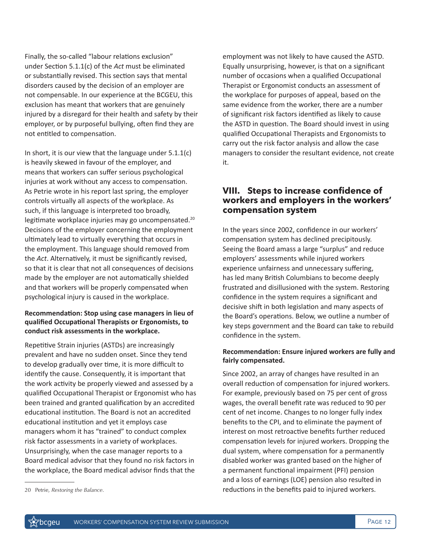Finally, the so-called "labour relations exclusion" under Section 5.1.1(c) of the *Act* must be eliminated or substantially revised. This section says that mental disorders caused by the decision of an employer are not compensable. In our experience at the BCGEU, this exclusion has meant that workers that are genuinely injured by a disregard for their health and safety by their employer, or by purposeful bullying, often find they are not entitled to compensation.

In short, it is our view that the language under  $5.1.1(c)$ is heavily skewed in favour of the employer, and means that workers can suffer serious psychological injuries at work without any access to compensation. As Petrie wrote in his report last spring, the employer controls virtually all aspects of the workplace. As such, if this language is interpreted too broadly, legitimate workplace injuries may go uncompensated.<sup>20</sup> Decisions of the employer concerning the employment ultimately lead to virtually everything that occurs in the employment. This language should removed from the *Act*. Alternatively, it must be significantly revised, so that it is clear that not all consequences of decisions made by the employer are not automatically shielded and that workers will be properly compensated when psychological injury is caused in the workplace.

#### **Recommendation: Stop using case managers in lieu of qualified Occupational Therapists or Ergonomists, to conduct risk assessments in the workplace.**

Repetitive Strain injuries (ASTDs) are increasingly prevalent and have no sudden onset. Since they tend to develop gradually over time, it is more difficult to identify the cause. Consequently, it is important that the work activity be properly viewed and assessed by a qualified Occupational Therapist or Ergonomist who has been trained and granted qualification by an accredited educational institution. The Board is not an accredited educational institution and yet it employs case managers whom it has "trained" to conduct complex risk factor assessments in a variety of workplaces. Unsurprisingly, when the case manager reports to a Board medical advisor that they found no risk factors in the workplace, the Board medical advisor finds that the

### **VIII. Steps to increase confidence of workers and employers in the workers' compensation system**

In the years since 2002, confidence in our workers' compensation system has declined precipitously. Seeing the Board amass a large "surplus" and reduce employers' assessments while injured workers experience unfairness and unnecessary suffering, has led many British Columbians to become deeply frustrated and disillusioned with the system. Restoring confidence in the system requires a significant and decisive shift in both legislation and many aspects of the Board's operations. Below, we outline a number of key steps government and the Board can take to rebuild confidence in the system.

### **Recommendation: Ensure injured workers are fully and fairly compensated.**

Since 2002, an array of changes have resulted in an overall reduction of compensation for injured workers. For example, previously based on 75 per cent of gross wages, the overall benefit rate was reduced to 90 per cent of net income. Changes to no longer fully index benefits to the CPI, and to eliminate the payment of interest on most retroactive benefits further reduced compensation levels for injured workers. Dropping the dual system, where compensation for a permanently disabled worker was granted based on the higher of a permanent functional impairment (PFI) pension and a loss of earnings (LOE) pension also resulted in reductions in the benefits paid to injured workers.

employment was not likely to have caused the ASTD. Equally unsurprising, however, is that on a significant number of occasions when a qualified Occupational Therapist or Ergonomist conducts an assessment of the workplace for purposes of appeal, based on the same evidence from the worker, there are a number of significant risk factors identified as likely to cause the ASTD in question. The Board should invest in using qualified Occupational Therapists and Ergonomists to carry out the risk factor analysis and allow the case managers to consider the resultant evidence, not create it.

<sup>20</sup> Petrie, *Restoring the Balance*.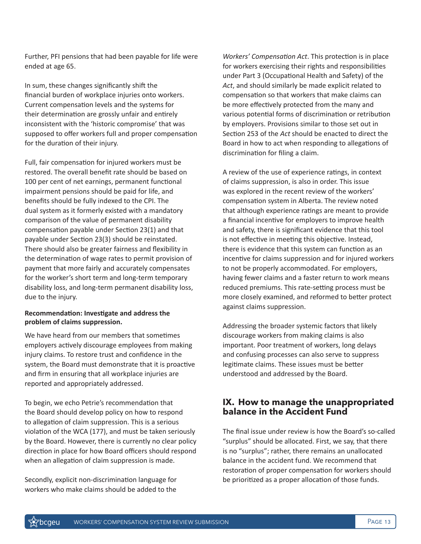Further, PFI pensions that had been payable for life were ended at age 65.

In sum, these changes significantly shift the financial burden of workplace injuries onto workers. Current compensation levels and the systems for their determination are grossly unfair and entirely inconsistent with the 'historic compromise' that was supposed to offer workers full and proper compensation for the duration of their injury.

Full, fair compensation for injured workers must be restored. The overall benefit rate should be based on 100 per cent of net earnings, permanent functional impairment pensions should be paid for life, and benefits should be fully indexed to the CPI. The dual system as it formerly existed with a mandatory comparison of the value of permanent disability compensation payable under Section 23(1) and that payable under Section 23(3) should be reinstated. There should also be greater fairness and flexibility in the determination of wage rates to permit provision of payment that more fairly and accurately compensates for the worker's short term and long-term temporary disability loss, and long-term permanent disability loss, due to the injury.

#### **Recommendation: Investigate and address the problem of claims suppression.**

We have heard from our members that sometimes employers actively discourage employees from making injury claims. To restore trust and confidence in the system, the Board must demonstrate that it is proactive and firm in ensuring that all workplace injuries are reported and appropriately addressed.

To begin, we echo Petrie's recommendation that the Board should develop policy on how to respond to allegation of claim suppression. This is a serious violation of the WCA (177), and must be taken seriously by the Board. However, there is currently no clear policy direction in place for how Board officers should respond when an allegation of claim suppression is made.

Secondly, explicit non-discrimination language for workers who make claims should be added to the *Workers' Compensation Act*. This protection is in place for workers exercising their rights and responsibilities under Part 3 (Occupational Health and Safety) of the *Act*, and should similarly be made explicit related to compensation so that workers that make claims can be more effectively protected from the many and various potential forms of discrimination or retribution by employers. Provisions similar to those set out in Section 253 of the *Act* should be enacted to direct the Board in how to act when responding to allegations of discrimination for filing a claim.

A review of the use of experience ratings, in context of claims suppression, is also in order. This issue was explored in the recent review of the workers' compensation system in Alberta. The review noted that although experience ratings are meant to provide a financial incentive for employers to improve health and safety, there is significant evidence that this tool is not effective in meeting this objective. Instead, there is evidence that this system can function as an incentive for claims suppression and for injured workers to not be properly accommodated. For employers, having fewer claims and a faster return to work means reduced premiums. This rate-setting process must be more closely examined, and reformed to better protect against claims suppression.

Addressing the broader systemic factors that likely discourage workers from making claims is also important. Poor treatment of workers, long delays and confusing processes can also serve to suppress legitimate claims. These issues must be better understood and addressed by the Board.

### **IX. How to manage the unappropriated balance in the Accident Fund**

The final issue under review is how the Board's so-called "surplus" should be allocated. First, we say, that there is no "surplus"; rather, there remains an unallocated balance in the accident fund. We recommend that restoration of proper compensation for workers should be prioritized as a proper allocation of those funds.